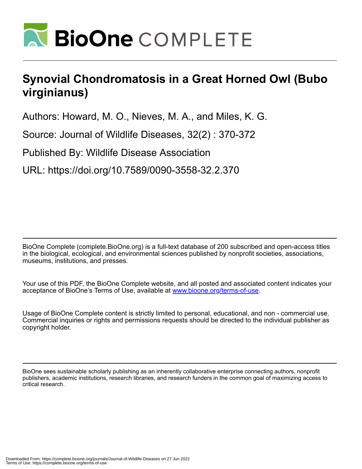

## **Synovial Chondromatosis in a Great Horned Owl (Bubo virginianus)**

Authors: Howard, M. O., Nieves, M. A., and Miles, K. G.

Source: Journal of Wildlife Diseases, 32(2) : 370-372

Published By: Wildlife Disease Association

URL: https://doi.org/10.7589/0090-3558-32.2.370

BioOne Complete (complete.BioOne.org) is a full-text database of 200 subscribed and open-access titles in the biological, ecological, and environmental sciences published by nonprofit societies, associations, museums, institutions, and presses.

Your use of this PDF, the BioOne Complete website, and all posted and associated content indicates your acceptance of BioOne's Terms of Use, available at www.bioone.org/terms-of-use.

Usage of BioOne Complete content is strictly limited to personal, educational, and non - commercial use. Commercial inquiries or rights and permissions requests should be directed to the individual publisher as copyright holder.

BioOne sees sustainable scholarly publishing as an inherently collaborative enterprise connecting authors, nonprofit publishers, academic institutions, research libraries, and research funders in the common goal of maximizing access to critical research.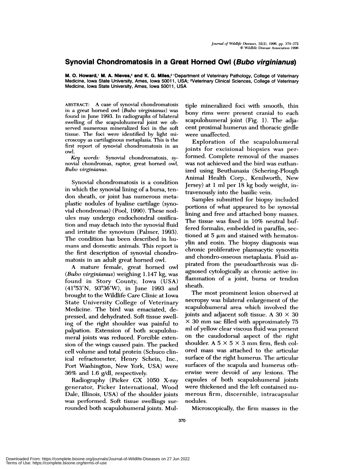## **Synovial Chondromatosis in a Great Horned Owl (Bubo virginianus)**

**M. O. Howard,<sup>1</sup> M. A. Nieves,<sup>2</sup> and K. G. Miles,<sup>2</sup> 'Department of Veterinary Pathology, College of Veterinary** Medicine, Iowa State University, Ames, Iowa 50011, USA; 2Veterinary Clinical Sciences, College of Veterinary Medicine, Iowa State University, Ames, Iowa 50011, USA

ABSTRACT: A case of synovial chondromatosis in a great homed owl *(Bubo virginianus)* was found in June 1993. In radiographs of bilateral swelling of the scapulohumeral joint we oh served numerous mineralized foci in the soft tissue. The foci were identified by light microscopy as cartilaginous metaplasia. This is the first report of synovial chondromatosis in an owl.

*Key words:* Synovial chondromatosis, sy novial chondromas, raptor, great horned owl, *Bubo virginianus.*

Synovial chondromatosis is a condition in which the synovial lining of a bursa, tendon sheath, or joint has numerous metaplastic nodules of hyaline cartilage (synovial chondromas) (Pool, 1990). These nodules may undergo endochondral ossification and may detach into the synovial fluid and irritate the synovium (Palmer, 1993). The condition has been described in hu mans and domestic animals. This report is the first description of synovial chondromatosis in an adult great horned owl.

A mature female, great horned owl *(Bubo virginianus)* weighing 1.147 kg, was found in Story County, Iowa (USA) (41°53'N, 93°36'W), in June 1993 and brought to the Wildlife Care Clinic at Iowa State University College of Veterinary Medicine. The bird was emaciated, depressed, and dehydrated. Soft tissue swelling of the right shoulder was painful to palpation. Extension of both scapulohumeral joints was reduced. Forcible extension of the wings caused pain. The packed cell volume and total protein (Schuco clinical refractometer, Henry Schein, Inc., Port Washington, New York, USA) were 36% and 1.6 g/dl, respectively.

Radiography (Picker GX 1050 X-ray generator, Picker International, Wood Dale, Illinois, USA) of the shoulder joints was performed. Soft tissue swellings surrounded both scapulohumeral joints. Mu!- tiple mineralized foci with smooth, thin bony rims were present cranial to each scapulohumeral joint (Fig. 1). The adjacent proximal humerus and thoracic girdle were unaffected.

Exploration of the scapulohumeral joints for excisional biopsies was performed. Complete removal of the masses was not achieved and the bird was euthanized using Beuthanasia (Schering-Plough Animal Health Corp., Kenilworth, New Jersey) at 1 ml per 18 kg body weight, intravenously into the basilic vein.

Samples submitted for biopsy included portions of what appeared to be synovial lining and free and attached bony masses. The tissue was fixed in 10% neutral buffered formalin, embedded in paraffin, sectioned at  $5 \mu m$  and stained with hematoxylin and eosin. The biopsy diagnosis was chronic proliferative plasmacytic synovitis and chondro-osseous metaplasia. Fluid as pirated from the pseudoarthrosis was diagnosed cytologically as chronic active inflammation of a joint, bursa or tendon sheath.

The most prominent lesion observed at necropsy was bilateral enlargement of the scapulohumeral area which involved the joints and adjacent soft tissue. A 30  $\times$  30 *<sup>X</sup>* 30 mm sac filled with approximately 75 ml of yellow clear viscous fluid was present on the caudodorsal aspect of the right shoulder. A  $5 \times 5 \times 3$  mm firm, flesh colored mass was attached to the articular surface of the right humerus. The articular surfaces of the scapula and humerus otherwise were devoid of any lesions. The capsules of both scapulohumeral joints were thickened and the left contained nu merous firm, discernible, intracapsular nodules.

Microscopically, the firm masses in the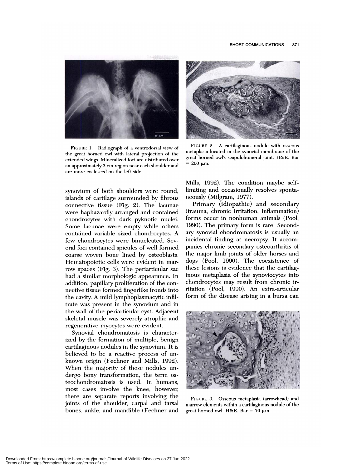

FIGURE 1. Radiograph of a ventrodorsal view of the great horned owl with lateral projection of the extended wings. Mineralized foci are distributed over an approximately 3 cm region near each shoulder and are more coalesced on the left side.

synovium of both shoulders were round, islands of cartilage surrounded by fibrous connective tissue (Fig. 2). The lacunae were haphazardly arranged and contained chondrocytes with dark pyknotic nuclei. Some lacunae were empty while others contained variable sized chondrocytes. A few chondrocytes were binucleated. Several foci contained spicules of well formed coarse woven bone lined by osteoblasts. Hematopoietic cells were evident in marrow spaces (Fig. 3). The periarticular sac had a similar morphologic appearance. In addition, papillary proliferation of the con nective tissue formed fingerlike fronds into the cavity. A mild lymphoplasmacytic infiltrate was present in the synovium and in the wall of the periarticular cyst. Adjacent skeletal muscle was severely atrophic and regenerative myocytes were evident.

Synovial chondromatosis is characterized by the formation of multiple, benign cartilaginous nodules in the synovium. It is believed to be a reactive process of un known origin (Fechner and Mills, 1992). When the majority of these nodules un dergo bony transformation, the term os teochondromatosis is used. In humans, most cases involve the knee; however, there are separate reports involving the joints of the shoulder, carpal and tarsal bones, ankle, and mandible (Fechner and



FIGURE 2. A cartilaginous nodule with osseous metaplasia located in the synovial membrane of the great horned owl's scapulohumeral joint. H&E. Bar  $= 200 \mu m$ .

Mills, 1992). The condition maybe selflimiting and occasionally resolves spontaneously (Milgram, 1977).

Primary (idiopathic) and secondary (trauma, chronic irritation, inflammation) forms occur in nonhuman animals (Pool, 1990). The primary form is rare. Secondary synovial chondromatosis is usually an incidental finding at necropsy. It accom panies chronic secondary osteoarthritis of the major limb joints of older horses and dogs (Pool, 1990). The coexistence of these lesions is evidence that the cartilaginous metaplasia of the synoviocytes into chondrocytes may result from chronic irritation (Pool, 1990). An extra-articulam form of the disease arising in a bursa can



FIGURE 3. Osseous metaplasia (arrowhead) and marrow elements within a cartilaginous nodule of the great horned owl. H&E. Bar = 70  $\mu$ m.